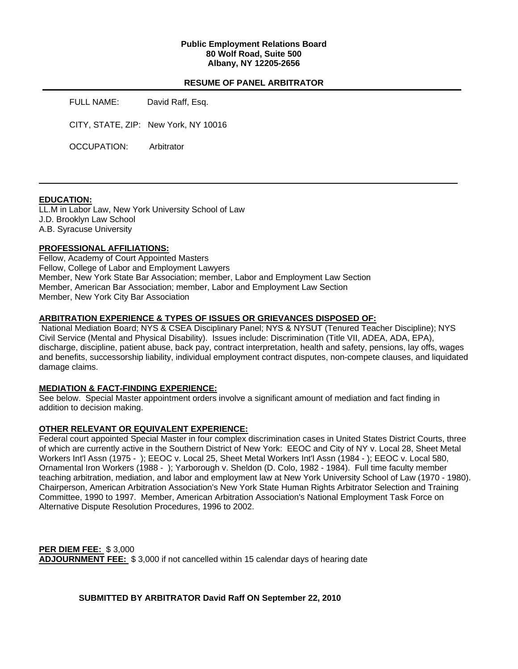## **Public Employment Relations Board 80 Wolf Road, Suite 500 Albany, NY 12205-2656**

### **RESUME OF PANEL ARBITRATOR**

FULL NAME: David Raff, Esq.

CITY, STATE, ZIP: New York, NY 10016

OCCUPATION: Arbitrator

## **EDUCATION:**

LL.M in Labor Law, New York University School of Law J.D. Brooklyn Law School A.B. Syracuse University

## **PROFESSIONAL AFFILIATIONS:**

Fellow, Academy of Court Appointed Masters Fellow, College of Labor and Employment Lawyers Member, New York State Bar Association; member, Labor and Employment Law Section Member, American Bar Association; member, Labor and Employment Law Section Member, New York City Bar Association

## **ARBITRATION EXPERIENCE & TYPES OF ISSUES OR GRIEVANCES DISPOSED OF:**

 National Mediation Board; NYS & CSEA Disciplinary Panel; NYS & NYSUT (Tenured Teacher Discipline); NYS Civil Service (Mental and Physical Disability). Issues include: Discrimination (Title VII, ADEA, ADA, EPA), discharge, discipline, patient abuse, back pay, contract interpretation, health and safety, pensions, lay offs, wages and benefits, successorship liability, individual employment contract disputes, non-compete clauses, and liquidated damage claims.

## **MEDIATION & FACT-FINDING EXPERIENCE:**

See below. Special Master appointment orders involve a significant amount of mediation and fact finding in addition to decision making.

## **OTHER RELEVANT OR EQUIVALENT EXPERIENCE:**

Federal court appointed Special Master in four complex discrimination cases in United States District Courts, three of which are currently active in the Southern District of New York: EEOC and City of NY v. Local 28, Sheet Metal Workers Int'l Assn (1975 - ); EEOC v. Local 25, Sheet Metal Workers Int'l Assn (1984 - ); EEOC v. Local 580, Ornamental Iron Workers (1988 - ); Yarborough v. Sheldon (D. Colo, 1982 - 1984). Full time faculty member teaching arbitration, mediation, and labor and employment law at New York University School of Law (1970 - 1980). Chairperson, American Arbitration Association's New York State Human Rights Arbitrator Selection and Training Committee, 1990 to 1997. Member, American Arbitration Association's National Employment Task Force on Alternative Dispute Resolution Procedures, 1996 to 2002.

**PER DIEM FEE:** \$ 3,000 **ADJOURNMENT FEE:** \$ 3,000 if not cancelled within 15 calendar days of hearing date

**SUBMITTED BY ARBITRATOR David Raff ON September 22, 2010**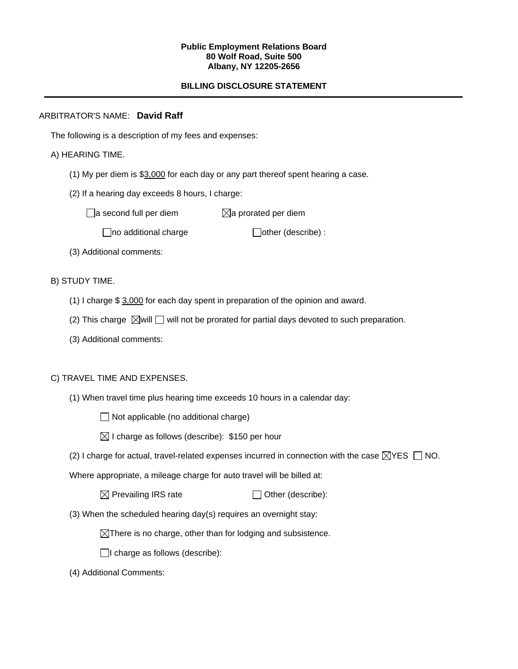#### **Public Employment Relations Board 80 Wolf Road, Suite 500 Albany, NY 12205-2656**

# **BILLING DISCLOSURE STATEMENT**

## ARBITRATOR'S NAME: **David Raff**

The following is a description of my fees and expenses:

## A) HEARING TIME.

- (1) My per diem is \$3,000 for each day or any part thereof spent hearing a case.
- (2) If a hearing day exceeds 8 hours, I charge:

 $\Box$ a second full per diem  $\boxtimes$ a prorated per diem

 $\Box$ no additional charge  $\Box$ other (describe) :

(3) Additional comments:

B) STUDY TIME.

- (1) I charge \$ 3,000 for each day spent in preparation of the opinion and award.
- (2) This charge  $\boxtimes$  will  $\Box$  will not be prorated for partial days devoted to such preparation.
- (3) Additional comments:

## C) TRAVEL TIME AND EXPENSES.

(1) When travel time plus hearing time exceeds 10 hours in a calendar day:

 $\Box$  Not applicable (no additional charge)

- $\boxtimes$  I charge as follows (describe): \$150 per hour
- (2) I charge for actual, travel-related expenses incurred in connection with the case  $\boxtimes$ YES  $\Box$  NO.

Where appropriate, a mileage charge for auto travel will be billed at:

 $\boxtimes$  Prevailing IRS rate  $\Box$  Other (describe):

(3) When the scheduled hearing day(s) requires an overnight stay:

 $\boxtimes$ There is no charge, other than for lodging and subsistence.

 $\Box$ I charge as follows (describe):

(4) Additional Comments: